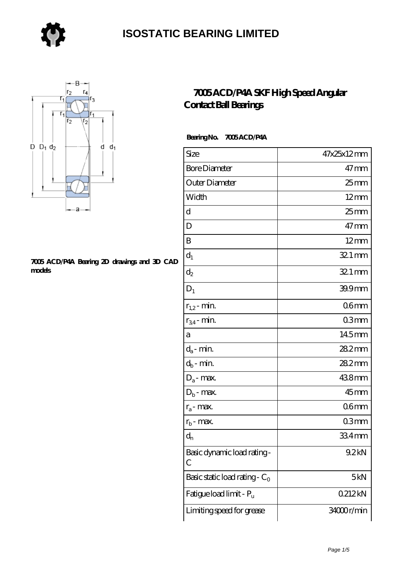



#### **[7005 ACD/P4A Bearing 2D drawings and 3D CAD](https://store-isabelmarant.com/pic-931729.html) [models](https://store-isabelmarant.com/pic-931729.html)**

#### **[7005 ACD/P4A SKF High Speed Angular](https://store-isabelmarant.com/skf-bearings/7005-acd-p4a.html) [Contact Ball Bearings](https://store-isabelmarant.com/skf-bearings/7005-acd-p4a.html)**

#### **Bearing No. 7005 ACD/P4A**

| Size                             | 47x25x12mm       |
|----------------------------------|------------------|
| <b>Bore Diameter</b>             | $47 \text{mm}$   |
| Outer Diameter                   | 25 <sub>mm</sub> |
| Width                            | $12 \text{mm}$   |
| d                                | $25$ mm          |
| D                                | $47$ mm          |
| B                                | $12 \text{mm}$   |
| $d_1$                            | $321$ mm         |
| $d_2$                            | $321$ mm         |
| $D_1$                            | 39.9mm           |
| $r_{1,2}$ - min.                 | 06 <sub>mm</sub> |
| $r_{34}$ - min.                  | 03 <sub>mm</sub> |
| а                                | 145mm            |
| $d_a$ - min.                     | 28.2mm           |
| $d_b$ - min.                     | 282mm            |
| $D_a$ - max.                     | 438mm            |
| $D_b$ - max.                     | $45$ mm          |
| $r_a$ - max.                     | 06 <sub>mm</sub> |
| $r_{b}$ - max.                   | 03mm             |
| $d_{n}$                          | 334mm            |
| Basic dynamic load rating-<br>С  | 9.2kN            |
| Basic static load rating - $C_0$ | 5kN              |
| Fatigue load limit - Pu          | 0212kN           |
| Limiting speed for grease        | 34000r/min       |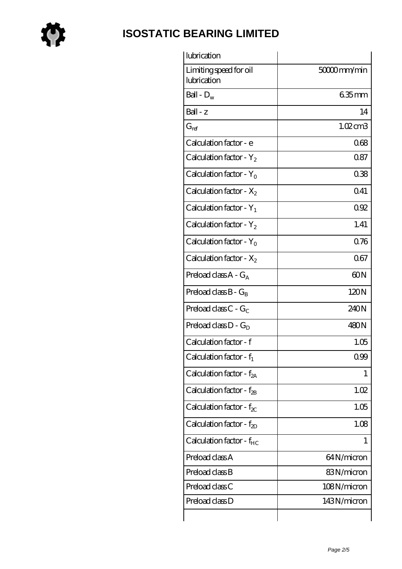

| lubrication                           |                     |
|---------------------------------------|---------------------|
| Limiting speed for oil<br>lubrication | 50000mm/min         |
| Ball - $D_w$                          | $635$ mm            |
| $Ball - z$                            | 14                  |
| $G_{\mathrm{ref}}$                    | $1.02 \text{ cm}$ 3 |
| Calculation factor - e                | 068                 |
| Calculation factor - $Y_2$            | 0.87                |
| Calculation factor - $Y_0$            | 038                 |
| Calculation factor - $X_2$            | 041                 |
| Calculation factor - $Y_1$            | 092                 |
| Calculation factor - $Y_2$            | 1.41                |
| Calculation factor - $Y_0$            | 0.76                |
| Calculation factor - $X_2$            | 067                 |
| Preload class $A - G_A$               | 60N                 |
| Preload class $B - G_B$               | 120N                |
| Preload class $C - G_C$               | 240N                |
| Preload class $D - G_D$               | 480N                |
| Calculation factor - f                | 1.05                |
| Calculation factor - $f_1$            | 0.99                |
| Calculation factor - f <sub>2A</sub>  | 1                   |
| Calculation factor - $f_{2B}$         | 1.02                |
| Calculation factor - $f_{\chi}$       | 1.05                |
| Calculation factor - $f_{2D}$         | 1.08                |
| Calculation factor - $f_{HC}$         | 1                   |
| Preload class A                       | 64N/micron          |
| Preload class B                       | 83N/micron          |
| Preload class C                       | 108N/micron         |
| Preload class D                       | 143N/micron         |
|                                       |                     |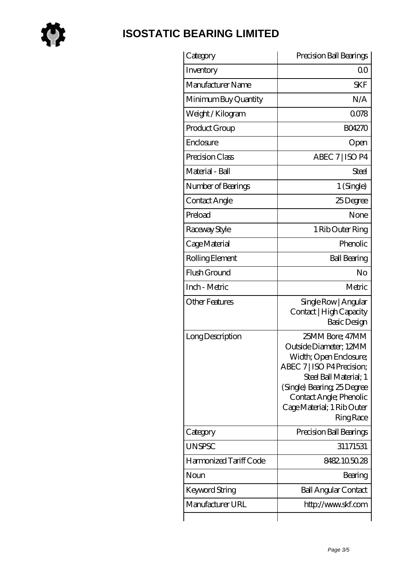

| Category               | Precision Ball Bearings                                                                                                                                                                                                                |
|------------------------|----------------------------------------------------------------------------------------------------------------------------------------------------------------------------------------------------------------------------------------|
| Inventory              | 00                                                                                                                                                                                                                                     |
| Manufacturer Name      | <b>SKF</b>                                                                                                                                                                                                                             |
| Minimum Buy Quantity   | N/A                                                                                                                                                                                                                                    |
| Weight / Kilogram      | 0078                                                                                                                                                                                                                                   |
| Product Group          | <b>BO4270</b>                                                                                                                                                                                                                          |
| Enclosure              | Open                                                                                                                                                                                                                                   |
| Precision Class        | ABEC 7   ISO P4                                                                                                                                                                                                                        |
| Material - Ball        | Steel                                                                                                                                                                                                                                  |
| Number of Bearings     | 1 (Single)                                                                                                                                                                                                                             |
| Contact Angle          | 25Degree                                                                                                                                                                                                                               |
| Preload                | None                                                                                                                                                                                                                                   |
| Raceway Style          | 1 Rib Outer Ring                                                                                                                                                                                                                       |
| Cage Material          | Phenolic                                                                                                                                                                                                                               |
| Rolling Element        | <b>Ball Bearing</b>                                                                                                                                                                                                                    |
| Flush Ground           | No                                                                                                                                                                                                                                     |
| Inch - Metric          | Metric                                                                                                                                                                                                                                 |
| <b>Other Features</b>  | Single Row   Angular<br>Contact   High Capacity<br>Basic Design                                                                                                                                                                        |
| Long Description       | 25MM Bore; 47MM<br>Outside Diameter; 12MM<br>Width; Open Enclosure;<br>ABEC 7   ISO P4 Precision;<br>Steel Ball Material; 1<br>(Single) Bearing 25 Degree<br>Contact Angle; Phenolic<br>Cage Material; 1 Rib Outer<br><b>Ring Race</b> |
| Category               | Precision Ball Bearings                                                                                                                                                                                                                |
| <b>UNSPSC</b>          | 31171531                                                                                                                                                                                                                               |
| Harmonized Tariff Code | 8482105028                                                                                                                                                                                                                             |
| Noun                   | Bearing                                                                                                                                                                                                                                |
| Keyword String         | <b>Ball Angular Contact</b>                                                                                                                                                                                                            |
| Manufacturer URL       | http://www.skf.com                                                                                                                                                                                                                     |
|                        |                                                                                                                                                                                                                                        |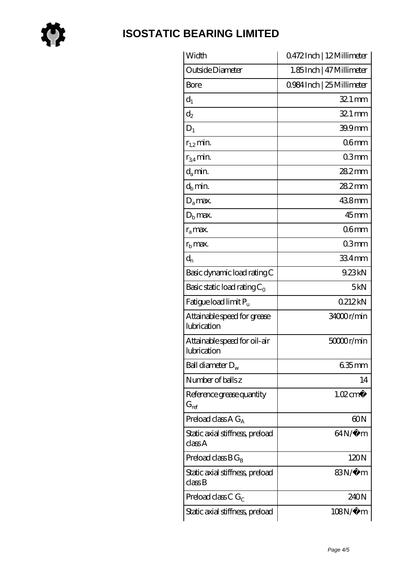

| Width                                       | 0472Inch   12Millimeter    |
|---------------------------------------------|----------------------------|
| Outside Diameter                            | 1.85 Inch   47 Millimeter  |
| Bore                                        | 0.984 Inch   25 Millimeter |
| $d_1$                                       | $321 \,\mathrm{mm}$        |
| $d_2$                                       | $321$ mm                   |
| $D_1$                                       | 39.9mm                     |
| $r_{1,2}$ min.                              | 06 <sub>mm</sub>           |
| $r_{34}$ min.                               | 03 <sub>mm</sub>           |
| $d_a$ min.                                  | $282$ mm                   |
| $d_b$ min.                                  | 282mm                      |
| $D_a$ max.                                  | 438mm                      |
| $D_{b}$ max.                                | $45$ mm                    |
| $r_a$ max.                                  | 06 <sub>mm</sub>           |
| $rb$ max.                                   | 03mm                       |
| $d_{n}$                                     | 334mm                      |
| Basic dynamic load rating C                 | 9.23kN                     |
| Basic static load rating $C_0$              | 5kN                        |
| Fatigue load limit $P_u$                    | 0212kN                     |
| Attainable speed for grease<br>lubrication  | 34000r/min                 |
| Attainable speed for oil-air<br>lubrication | 50000r/min                 |
| Ball diameter $D_w$                         | 635mm                      |
| Number of balls z                           | 14                         |
| Reference grease quantity<br>$G_{ref}$      | $1.02 \text{ cm}^3$        |
| Preload class $AG_A$                        | 60N                        |
| Static axial stiffness, preload<br>classA   | $64N/\mu$ m                |
| Preload class $BG_B$                        | 120N                       |
| Static axial stiffness, preload<br>classB   | 83N/µ m                    |
| Preload class C $G_C$                       | 240N                       |
| Static axial stiffness, preload             | $108N/\mu$ m               |